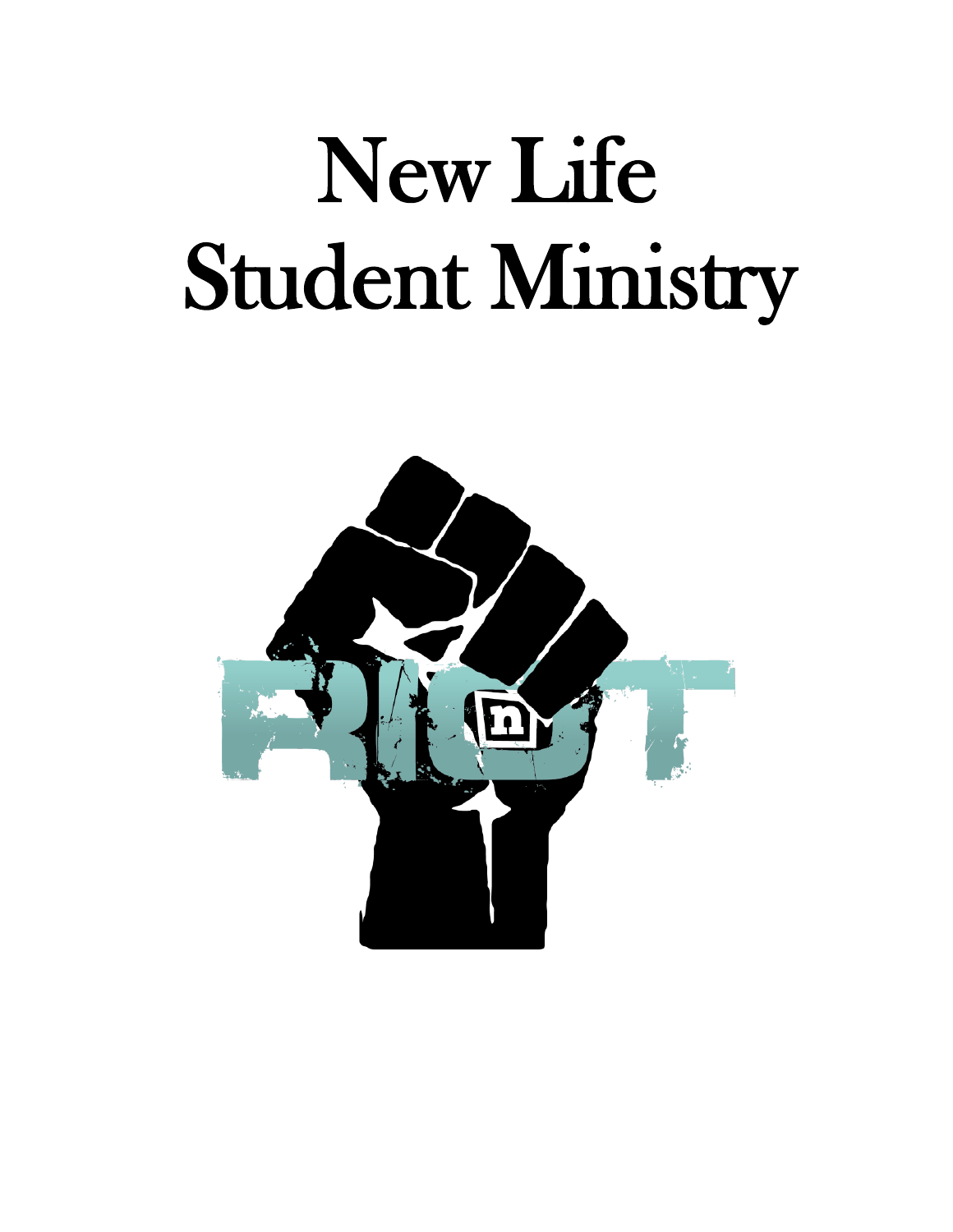# New Life Student Ministry

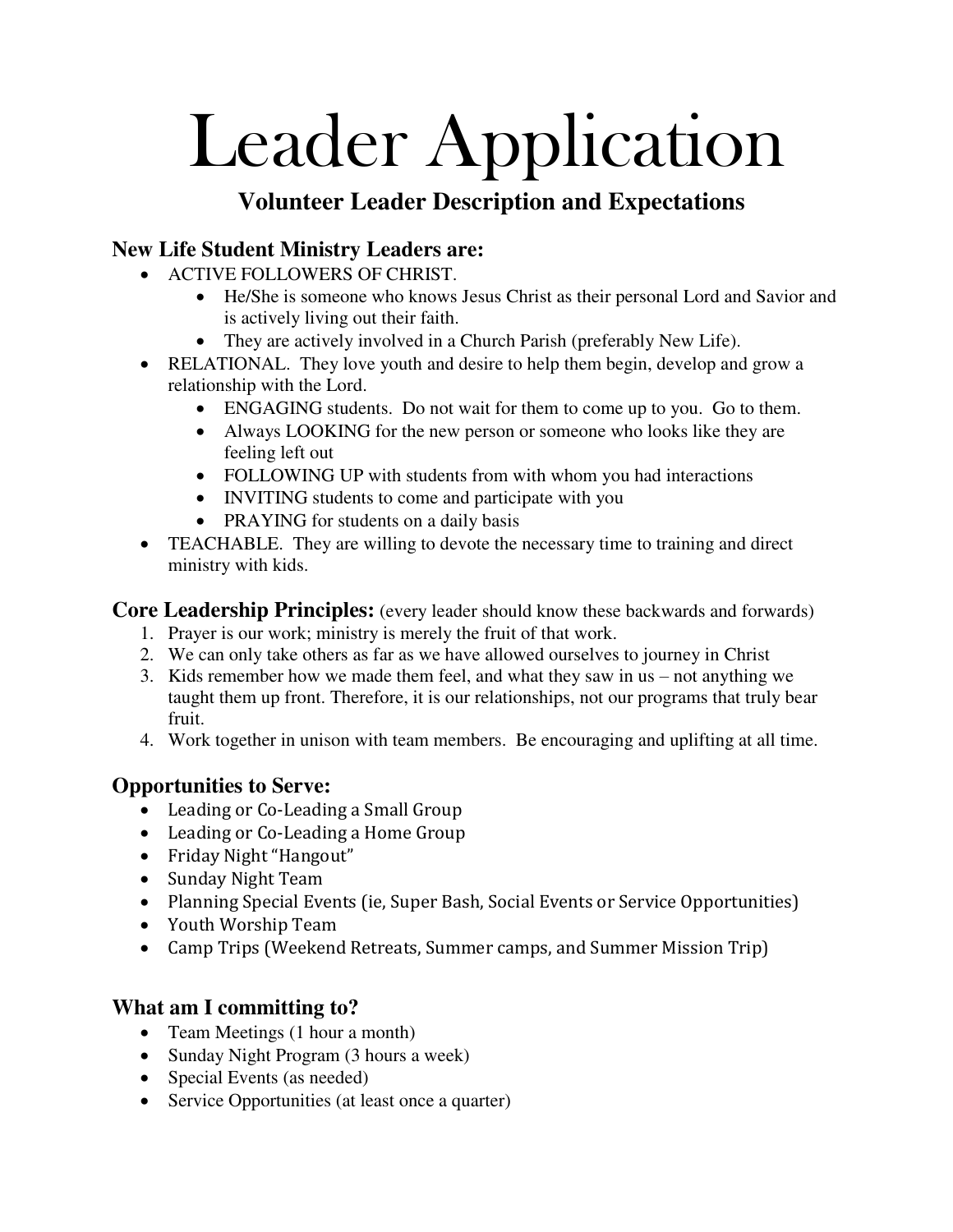# Leader Application

# **Volunteer Leader Description and Expectations**

#### **New Life Student Ministry Leaders are:**

- ACTIVE FOLLOWERS OF CHRIST.
	- He/She is someone who knows Jesus Christ as their personal Lord and Savior and is actively living out their faith.
	- They are actively involved in a Church Parish (preferably New Life).
- RELATIONAL. They love youth and desire to help them begin, develop and grow a relationship with the Lord.
	- ENGAGING students. Do not wait for them to come up to you. Go to them.
	- Always LOOKING for the new person or someone who looks like they are feeling left out
	- FOLLOWING UP with students from with whom you had interactions
	- INVITING students to come and participate with you
	- PRAYING for students on a daily basis
- TEACHABLE. They are willing to devote the necessary time to training and direct ministry with kids.

#### **Core Leadership Principles:** (every leader should know these backwards and forwards)

- 1. Prayer is our work; ministry is merely the fruit of that work.
- 2. We can only take others as far as we have allowed ourselves to journey in Christ
- 3. Kids remember how we made them feel, and what they saw in us not anything we taught them up front. Therefore, it is our relationships, not our programs that truly bear fruit.
- 4. Work together in unison with team members. Be encouraging and uplifting at all time.

## **Opportunities to Serve:**

- Leading or Co-Leading a Small Group
- Leading or Co-Leading a Home Group
- Friday Night "Hangout"
- Sunday Night Team
- Planning Special Events (ie, Super Bash, Social Events or Service Opportunities)
- Youth Worship Team
- Camp Trips (Weekend Retreats, Summer camps, and Summer Mission Trip)

## **What am I committing to?**

- Team Meetings (1 hour a month)
- Sunday Night Program (3 hours a week)
- Special Events (as needed)
- Service Opportunities (at least once a quarter)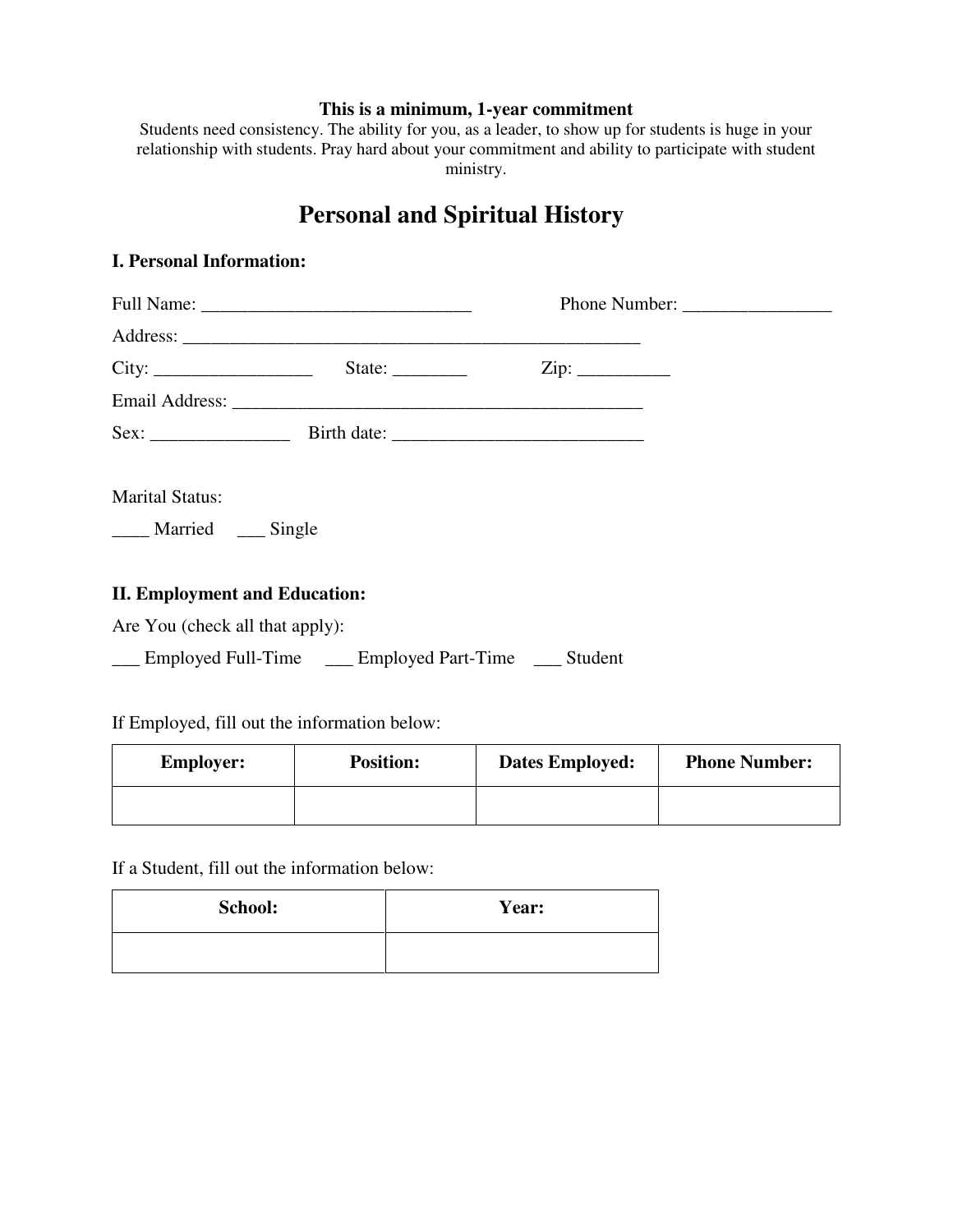#### **This is a minimum, 1-year commitment**

Students need consistency. The ability for you, as a leader, to show up for students is huge in your relationship with students. Pray hard about your commitment and ability to participate with student ministry.

# **Personal and Spiritual History**

#### **I. Personal Information:**

|                                                   |                                                        | $\overline{\mathrm{Zip:}}$ |  |
|---------------------------------------------------|--------------------------------------------------------|----------------------------|--|
|                                                   |                                                        |                            |  |
|                                                   |                                                        |                            |  |
| <b>Marital Status:</b><br>____ Married ___ Single |                                                        |                            |  |
| <b>II. Employment and Education:</b>              |                                                        |                            |  |
| Are You (check all that apply):                   |                                                        |                            |  |
|                                                   | __ Employed Full-Time __ Employed Part-Time __ Student |                            |  |

If Employed, fill out the information below:

| <b>Employer:</b> | <b>Position:</b> | <b>Dates Employed:</b> | <b>Phone Number:</b> |
|------------------|------------------|------------------------|----------------------|
|                  |                  |                        |                      |

If a Student, fill out the information below:

| School: | Year: |
|---------|-------|
|         |       |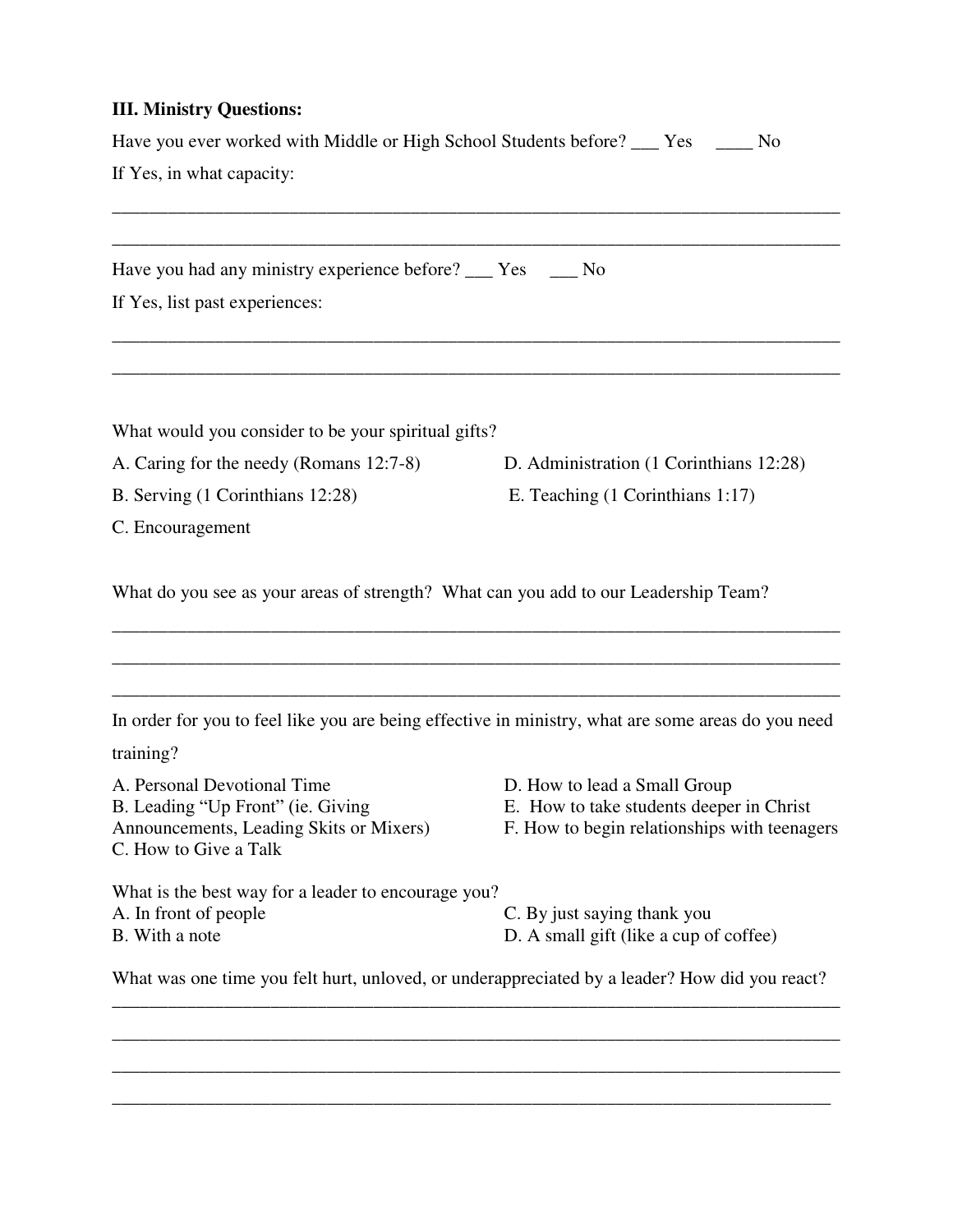#### **III. Ministry Questions:**

| Have you ever worked with Middle or High School Students before? ____ Yes |  |
|---------------------------------------------------------------------------|--|
| If Yes, in what capacity:                                                 |  |

\_\_\_\_\_\_\_\_\_\_\_\_\_\_\_\_\_\_\_\_\_\_\_\_\_\_\_\_\_\_\_\_\_\_\_\_\_\_\_\_\_\_\_\_\_\_\_\_\_\_\_\_\_\_\_\_\_\_\_\_\_\_\_\_\_\_\_\_\_\_\_\_\_\_\_\_\_\_

\_\_\_\_\_\_\_\_\_\_\_\_\_\_\_\_\_\_\_\_\_\_\_\_\_\_\_\_\_\_\_\_\_\_\_\_\_\_\_\_\_\_\_\_\_\_\_\_\_\_\_\_\_\_\_\_\_\_\_\_\_\_\_\_\_\_\_\_\_\_\_\_\_\_\_\_\_\_

\_\_\_\_\_\_\_\_\_\_\_\_\_\_\_\_\_\_\_\_\_\_\_\_\_\_\_\_\_\_\_\_\_\_\_\_\_\_\_\_\_\_\_\_\_\_\_\_\_\_\_\_\_\_\_\_\_\_\_\_\_\_\_\_\_\_\_\_\_\_\_\_\_\_\_\_\_\_

\_\_\_\_\_\_\_\_\_\_\_\_\_\_\_\_\_\_\_\_\_\_\_\_\_\_\_\_\_\_\_\_\_\_\_\_\_\_\_\_\_\_\_\_\_\_\_\_\_\_\_\_\_\_\_\_\_\_\_\_\_\_\_\_\_\_\_\_\_\_\_\_\_\_\_\_\_\_

| Have you had any ministry experience before? ___ Yes ____ No |  |  |
|--------------------------------------------------------------|--|--|
|--------------------------------------------------------------|--|--|

If Yes, list past experiences:

What would you consider to be your spiritual gifts?

A. Caring for the needy (Romans 12:7-8)

B. Serving (1 Corinthians 12:28)

D. Administration (1 Corinthians 12:28)

E. Teaching (1 Corinthians 1:17)

C. Encouragement

What do you see as your areas of strength? What can you add to our Leadership Team?

In order for you to feel like you are being effective in ministry, what are some areas do you need

\_\_\_\_\_\_\_\_\_\_\_\_\_\_\_\_\_\_\_\_\_\_\_\_\_\_\_\_\_\_\_\_\_\_\_\_\_\_\_\_\_\_\_\_\_\_\_\_\_\_\_\_\_\_\_\_\_\_\_\_\_\_\_\_\_\_\_\_\_\_\_\_\_\_\_\_\_\_

\_\_\_\_\_\_\_\_\_\_\_\_\_\_\_\_\_\_\_\_\_\_\_\_\_\_\_\_\_\_\_\_\_\_\_\_\_\_\_\_\_\_\_\_\_\_\_\_\_\_\_\_\_\_\_\_\_\_\_\_\_\_\_\_\_\_\_\_\_\_\_\_\_\_\_\_\_\_

\_\_\_\_\_\_\_\_\_\_\_\_\_\_\_\_\_\_\_\_\_\_\_\_\_\_\_\_\_\_\_\_\_\_\_\_\_\_\_\_\_\_\_\_\_\_\_\_\_\_\_\_\_\_\_\_\_\_\_\_\_\_\_\_\_\_\_\_\_\_\_\_\_\_\_\_\_\_

training?

A. Personal Devotional Time B. Leading "Up Front" (ie. Giving Announcements, Leading Skits or Mixers) C. How to Give a Talk

D. How to lead a Small Group

E. How to take students deeper in Christ

F. How to begin relationships with teenagers

What is the best way for a leader to encourage you? A. In front of people B. With a note C. By just saying thank you D. A small gift (like a cup of coffee)

What was one time you felt hurt, unloved, or underappreciated by a leader? How did you react? \_\_\_\_\_\_\_\_\_\_\_\_\_\_\_\_\_\_\_\_\_\_\_\_\_\_\_\_\_\_\_\_\_\_\_\_\_\_\_\_\_\_\_\_\_\_\_\_\_\_\_\_\_\_\_\_\_\_\_\_\_\_\_\_\_\_\_\_\_\_\_\_\_\_\_\_\_\_

\_\_\_\_\_\_\_\_\_\_\_\_\_\_\_\_\_\_\_\_\_\_\_\_\_\_\_\_\_\_\_\_\_\_\_\_\_\_\_\_\_\_\_\_\_\_\_\_\_\_\_\_\_\_\_\_\_\_\_\_\_\_\_\_\_\_\_\_\_\_\_\_\_\_\_\_\_\_

\_\_\_\_\_\_\_\_\_\_\_\_\_\_\_\_\_\_\_\_\_\_\_\_\_\_\_\_\_\_\_\_\_\_\_\_\_\_\_\_\_\_\_\_\_\_\_\_\_\_\_\_\_\_\_\_\_\_\_\_\_\_\_\_\_\_\_\_\_\_\_\_\_\_\_\_\_\_

\_\_\_\_\_\_\_\_\_\_\_\_\_\_\_\_\_\_\_\_\_\_\_\_\_\_\_\_\_\_\_\_\_\_\_\_\_\_\_\_\_\_\_\_\_\_\_\_\_\_\_\_\_\_\_\_\_\_\_\_\_\_\_\_\_\_\_\_\_\_\_\_\_\_\_\_\_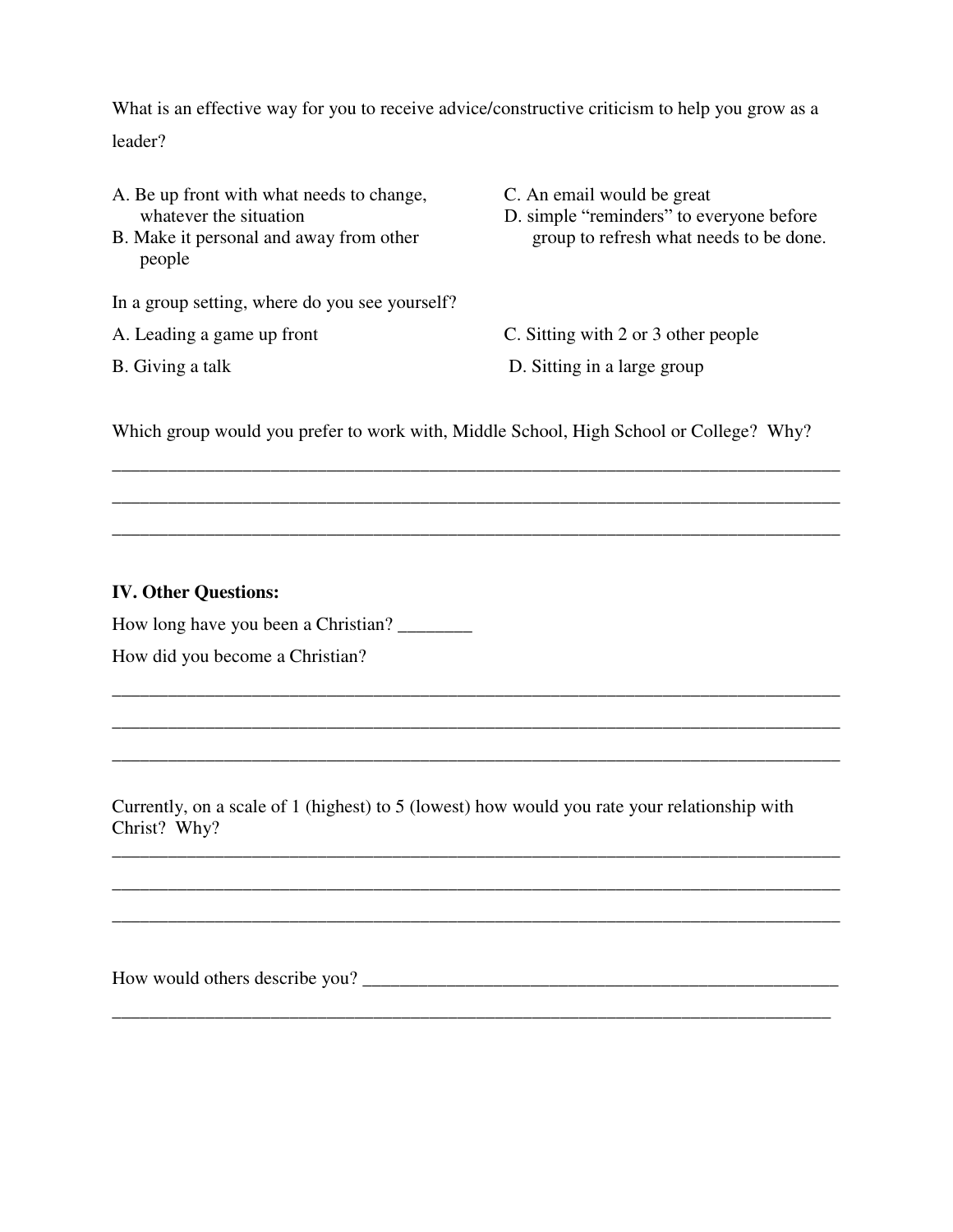What is an effective way for you to receive advice/constructive criticism to help you grow as a leader?

| A. Be up front with what needs to change,                                   | C. An email would be great                                                          |
|-----------------------------------------------------------------------------|-------------------------------------------------------------------------------------|
| whatever the situation<br>B. Make it personal and away from other<br>people | D. simple "reminders" to everyone before<br>group to refresh what needs to be done. |
| In a group setting, where do you see yourself?                              |                                                                                     |
| A. Leading a game up front                                                  | C. Sitting with 2 or 3 other people                                                 |
| B. Giving a talk                                                            | D. Sitting in a large group                                                         |
|                                                                             |                                                                                     |

Which group would you prefer to work with, Middle School, High School or College? Why?

\_\_\_\_\_\_\_\_\_\_\_\_\_\_\_\_\_\_\_\_\_\_\_\_\_\_\_\_\_\_\_\_\_\_\_\_\_\_\_\_\_\_\_\_\_\_\_\_\_\_\_\_\_\_\_\_\_\_\_\_\_\_\_\_\_\_\_\_\_\_\_\_\_\_\_\_\_\_

\_\_\_\_\_\_\_\_\_\_\_\_\_\_\_\_\_\_\_\_\_\_\_\_\_\_\_\_\_\_\_\_\_\_\_\_\_\_\_\_\_\_\_\_\_\_\_\_\_\_\_\_\_\_\_\_\_\_\_\_\_\_\_\_\_\_\_\_\_\_\_\_\_\_\_\_\_\_

\_\_\_\_\_\_\_\_\_\_\_\_\_\_\_\_\_\_\_\_\_\_\_\_\_\_\_\_\_\_\_\_\_\_\_\_\_\_\_\_\_\_\_\_\_\_\_\_\_\_\_\_\_\_\_\_\_\_\_\_\_\_\_\_\_\_\_\_\_\_\_\_\_\_\_\_\_\_

\_\_\_\_\_\_\_\_\_\_\_\_\_\_\_\_\_\_\_\_\_\_\_\_\_\_\_\_\_\_\_\_\_\_\_\_\_\_\_\_\_\_\_\_\_\_\_\_\_\_\_\_\_\_\_\_\_\_\_\_\_\_\_\_\_\_\_\_\_\_\_\_\_\_\_\_\_\_

\_\_\_\_\_\_\_\_\_\_\_\_\_\_\_\_\_\_\_\_\_\_\_\_\_\_\_\_\_\_\_\_\_\_\_\_\_\_\_\_\_\_\_\_\_\_\_\_\_\_\_\_\_\_\_\_\_\_\_\_\_\_\_\_\_\_\_\_\_\_\_\_\_\_\_\_\_\_

\_\_\_\_\_\_\_\_\_\_\_\_\_\_\_\_\_\_\_\_\_\_\_\_\_\_\_\_\_\_\_\_\_\_\_\_\_\_\_\_\_\_\_\_\_\_\_\_\_\_\_\_\_\_\_\_\_\_\_\_\_\_\_\_\_\_\_\_\_\_\_\_\_\_\_\_\_\_

\_\_\_\_\_\_\_\_\_\_\_\_\_\_\_\_\_\_\_\_\_\_\_\_\_\_\_\_\_\_\_\_\_\_\_\_\_\_\_\_\_\_\_\_\_\_\_\_\_\_\_\_\_\_\_\_\_\_\_\_\_\_\_\_\_\_\_\_\_\_\_\_\_\_\_\_\_\_

\_\_\_\_\_\_\_\_\_\_\_\_\_\_\_\_\_\_\_\_\_\_\_\_\_\_\_\_\_\_\_\_\_\_\_\_\_\_\_\_\_\_\_\_\_\_\_\_\_\_\_\_\_\_\_\_\_\_\_\_\_\_\_\_\_\_\_\_\_\_\_\_\_\_\_\_\_\_

\_\_\_\_\_\_\_\_\_\_\_\_\_\_\_\_\_\_\_\_\_\_\_\_\_\_\_\_\_\_\_\_\_\_\_\_\_\_\_\_\_\_\_\_\_\_\_\_\_\_\_\_\_\_\_\_\_\_\_\_\_\_\_\_\_\_\_\_\_\_\_\_\_\_\_\_\_

 $\mathcal{L}_\mathcal{L} = \{ \mathcal{L}_\mathcal{L} = \{ \mathcal{L}_\mathcal{L} = \{ \mathcal{L}_\mathcal{L} = \{ \mathcal{L}_\mathcal{L} = \{ \mathcal{L}_\mathcal{L} = \{ \mathcal{L}_\mathcal{L} = \{ \mathcal{L}_\mathcal{L} = \{ \mathcal{L}_\mathcal{L} = \{ \mathcal{L}_\mathcal{L} = \{ \mathcal{L}_\mathcal{L} = \{ \mathcal{L}_\mathcal{L} = \{ \mathcal{L}_\mathcal{L} = \{ \mathcal{L}_\mathcal{L} = \{ \mathcal{L}_\mathcal{$ 

#### **IV. Other Questions:**

How long have you been a Christian? \_\_\_\_\_\_\_\_\_

How did you become a Christian?

Currently, on a scale of 1 (highest) to 5 (lowest) how would you rate your relationship with Christ? Why?

How would others describe you? \_\_\_\_\_\_\_\_\_\_\_\_\_\_\_\_\_\_\_\_\_\_\_\_\_\_\_\_\_\_\_\_\_\_\_\_\_\_\_\_\_\_\_\_\_\_\_\_\_\_\_